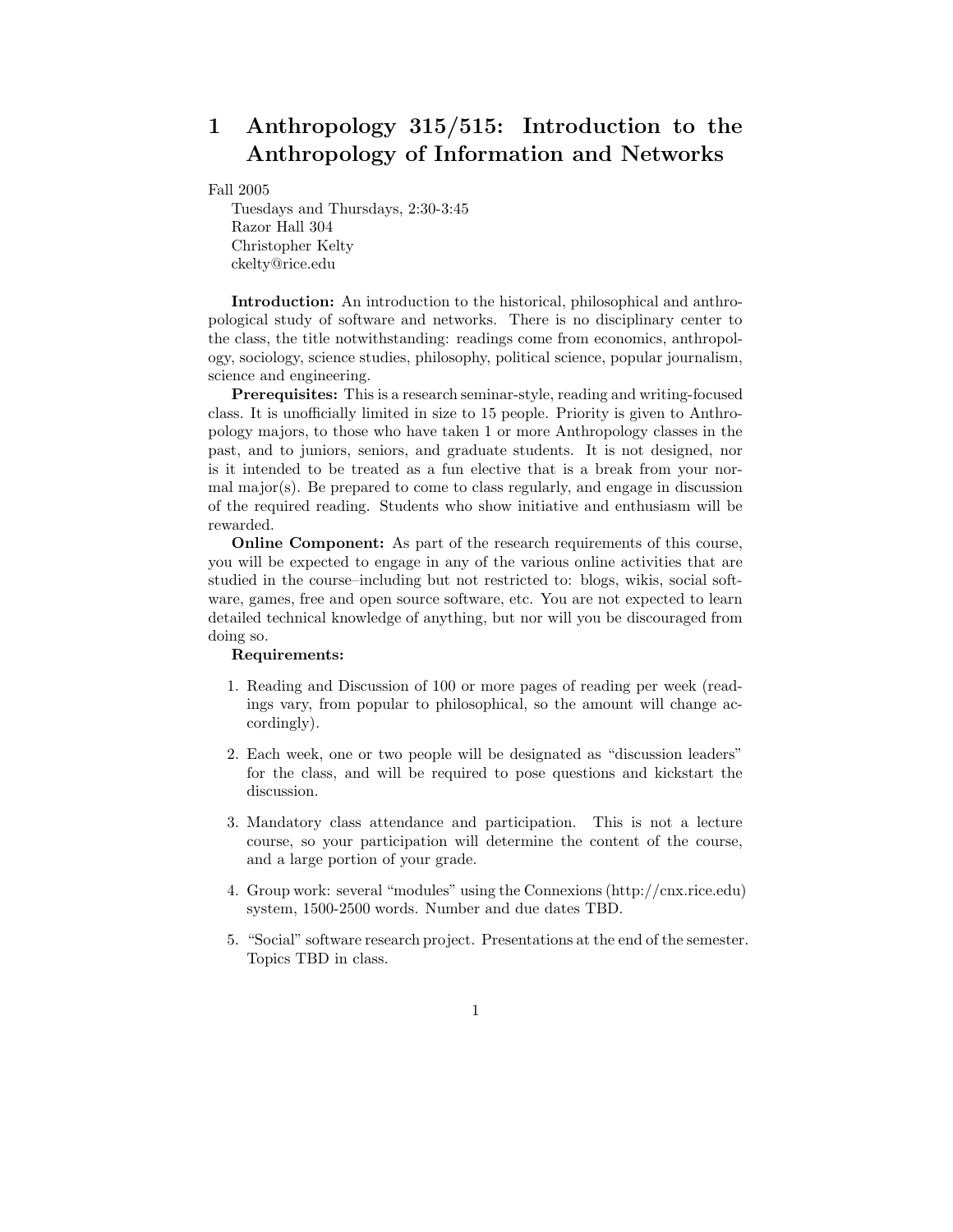# 1 Anthropology 315/515: Introduction to the Anthropology of Information and Networks

Fall 2005

Tuesdays and Thursdays, 2:30-3:45 Razor Hall 304 Christopher Kelty ckelty@rice.edu

Introduction: An introduction to the historical, philosophical and anthropological study of software and networks. There is no disciplinary center to the class, the title notwithstanding: readings come from economics, anthropology, sociology, science studies, philosophy, political science, popular journalism, science and engineering.

Prerequisites: This is a research seminar-style, reading and writing-focused class. It is unofficially limited in size to 15 people. Priority is given to Anthropology majors, to those who have taken 1 or more Anthropology classes in the past, and to juniors, seniors, and graduate students. It is not designed, nor is it intended to be treated as a fun elective that is a break from your normal major(s). Be prepared to come to class regularly, and engage in discussion of the required reading. Students who show initiative and enthusiasm will be rewarded.

Online Component: As part of the research requirements of this course, you will be expected to engage in any of the various online activities that are studied in the course–including but not restricted to: blogs, wikis, social software, games, free and open source software, etc. You are not expected to learn detailed technical knowledge of anything, but nor will you be discouraged from doing so.

#### Requirements:

- 1. Reading and Discussion of 100 or more pages of reading per week (readings vary, from popular to philosophical, so the amount will change accordingly).
- 2. Each week, one or two people will be designated as "discussion leaders" for the class, and will be required to pose questions and kickstart the discussion.
- 3. Mandatory class attendance and participation. This is not a lecture course, so your participation will determine the content of the course, and a large portion of your grade.
- 4. Group work: several "modules" using the Connexions (http://cnx.rice.edu) system, 1500-2500 words. Number and due dates TBD.
- 5. "Social" software research project. Presentations at the end of the semester. Topics TBD in class.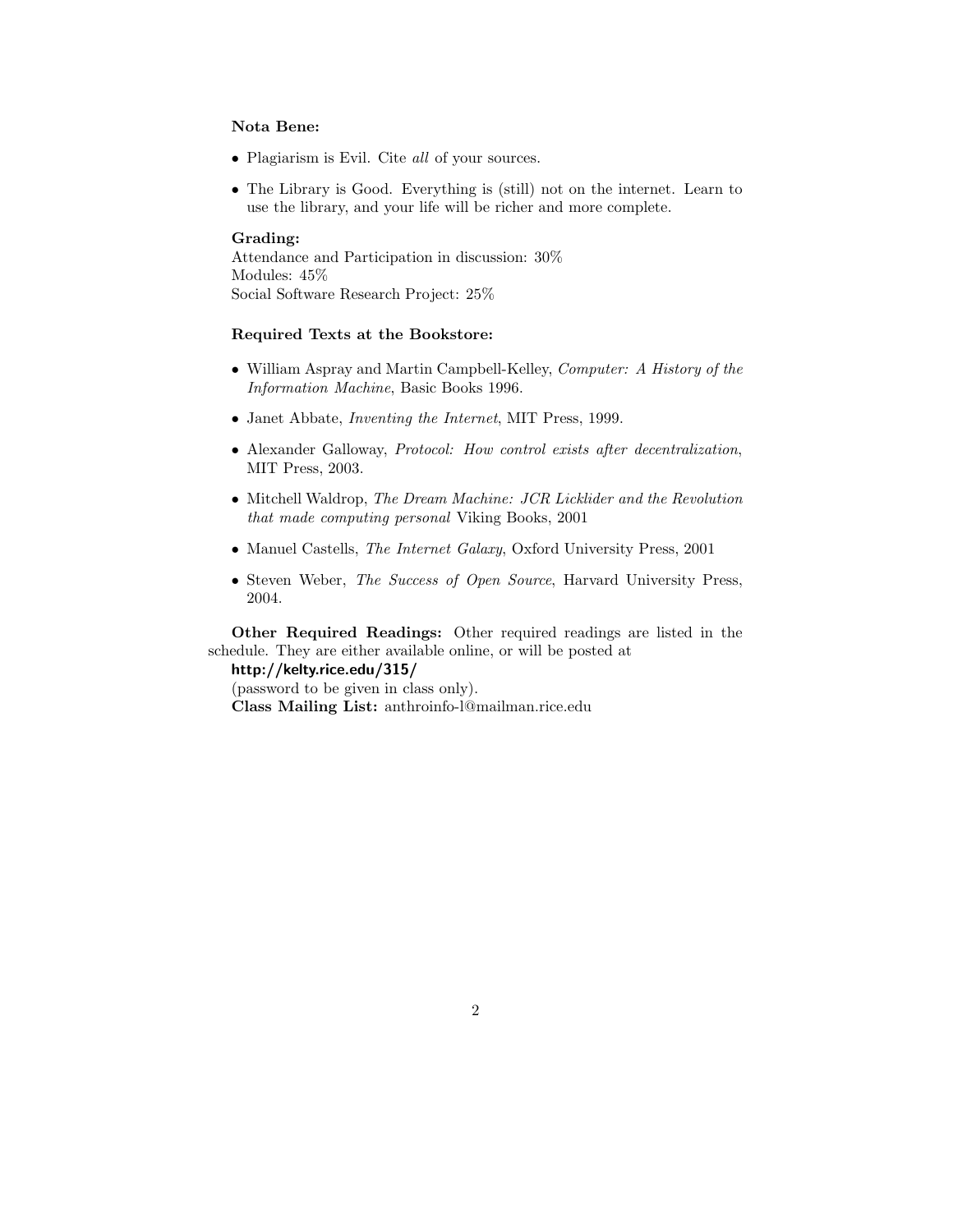#### Nota Bene:

- Plagiarism is Evil. Cite all of your sources.
- The Library is Good. Everything is (still) not on the internet. Learn to use the library, and your life will be richer and more complete.

#### Grading:

Attendance and Participation in discussion: 30% Modules: 45% Social Software Research Project: 25%

#### Required Texts at the Bookstore:

- William Aspray and Martin Campbell-Kelley, Computer: A History of the Information Machine, Basic Books 1996.
- Janet Abbate, Inventing the Internet, MIT Press, 1999.
- Alexander Galloway, Protocol: How control exists after decentralization, MIT Press, 2003.
- Mitchell Waldrop, The Dream Machine: JCR Licklider and the Revolution that made computing personal Viking Books, 2001
- Manuel Castells, The Internet Galaxy, Oxford University Press, 2001
- Steven Weber, The Success of Open Source, Harvard University Press, 2004.

Other Required Readings: Other required readings are listed in the schedule. They are either available online, or will be posted at

http://kelty.rice.edu/315/

(password to be given in class only). Class Mailing List: anthroinfo-l@mailman.rice.edu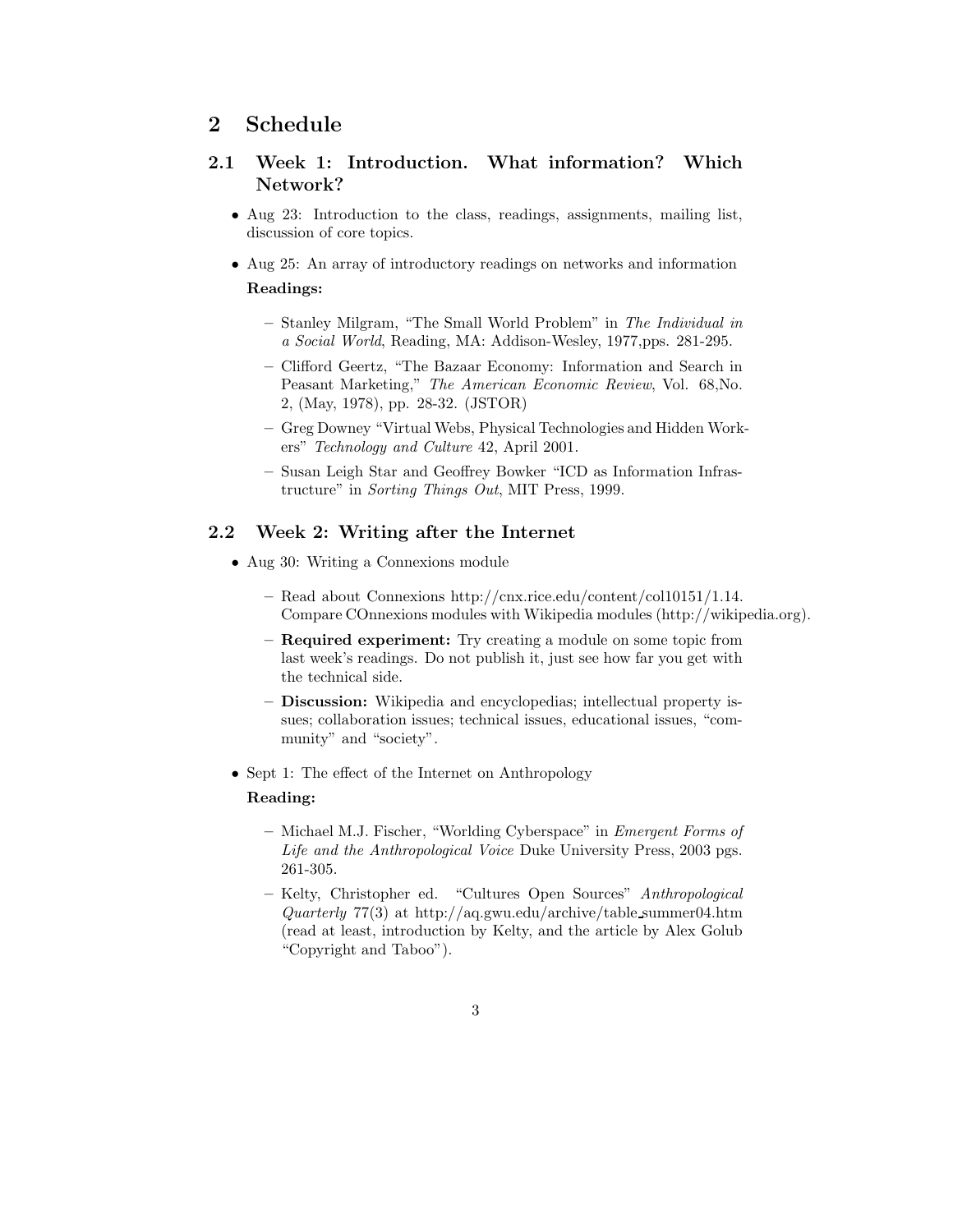## 2 Schedule

## 2.1 Week 1: Introduction. What information? Which Network?

- Aug 23: Introduction to the class, readings, assignments, mailing list, discussion of core topics.
- Aug 25: An array of introductory readings on networks and information Readings:
	- Stanley Milgram, "The Small World Problem" in The Individual in a Social World, Reading, MA: Addison-Wesley, 1977,pps. 281-295.
	- Clifford Geertz, "The Bazaar Economy: Information and Search in Peasant Marketing," The American Economic Review, Vol. 68,No. 2, (May, 1978), pp. 28-32. (JSTOR)
	- Greg Downey "Virtual Webs, Physical Technologies and Hidden Workers" Technology and Culture 42, April 2001.
	- Susan Leigh Star and Geoffrey Bowker "ICD as Information Infrastructure" in Sorting Things Out, MIT Press, 1999.

### 2.2 Week 2: Writing after the Internet

- Aug 30: Writing a Connexions module
	- Read about Connexions http://cnx.rice.edu/content/col10151/1.14. Compare COnnexions modules with Wikipedia modules (http://wikipedia.org).
	- Required experiment: Try creating a module on some topic from last week's readings. Do not publish it, just see how far you get with the technical side.
	- Discussion: Wikipedia and encyclopedias; intellectual property issues; collaboration issues; technical issues, educational issues, "community" and "society".
- Sept 1: The effect of the Internet on Anthropology

#### Reading:

- Michael M.J. Fischer, "Worlding Cyberspace" in Emergent Forms of Life and the Anthropological Voice Duke University Press, 2003 pgs. 261-305.
- Kelty, Christopher ed. "Cultures Open Sources" Anthropological Quarterly 77(3) at http://aq.gwu.edu/archive/table summer04.htm (read at least, introduction by Kelty, and the article by Alex Golub "Copyright and Taboo").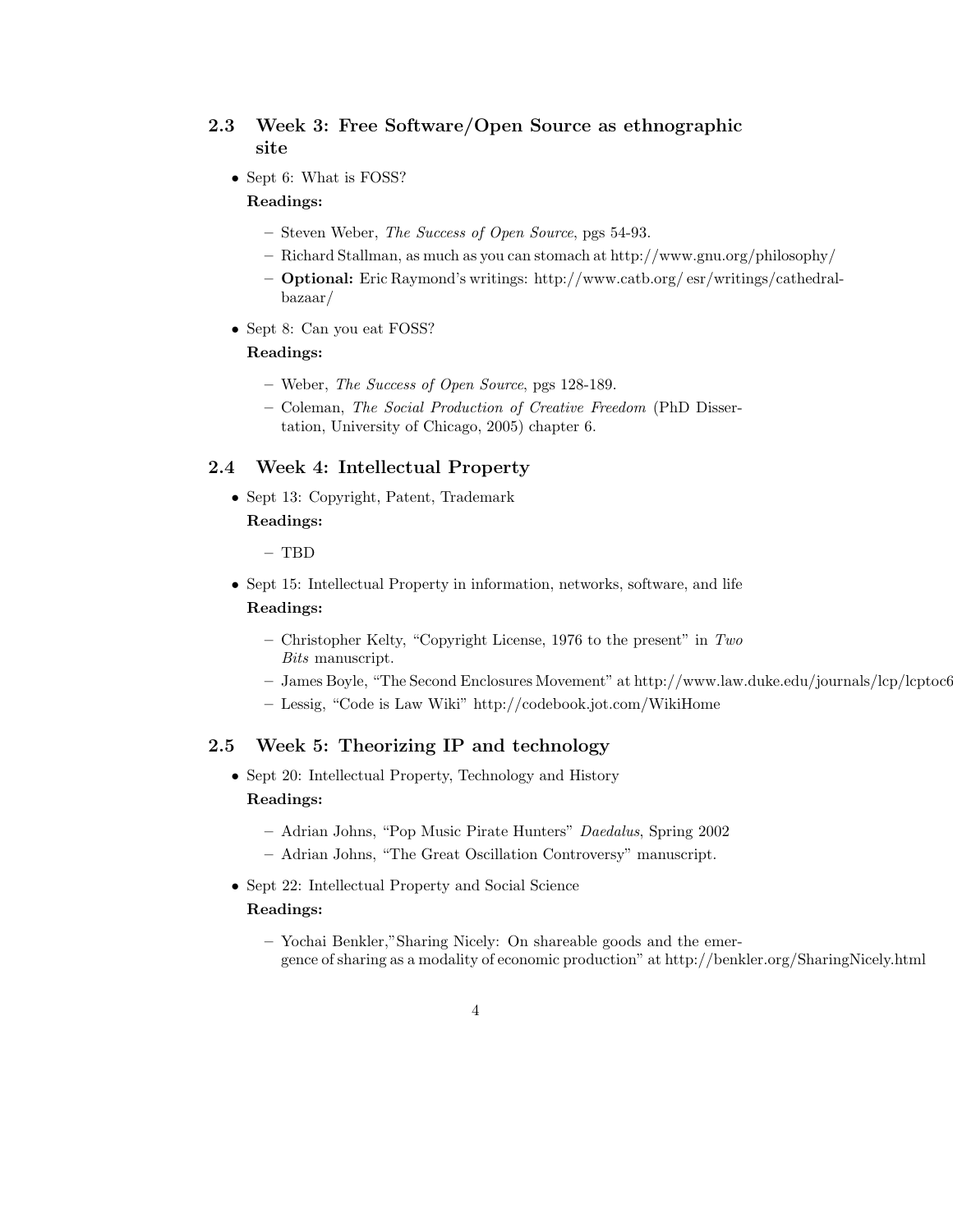## 2.3 Week 3: Free Software/Open Source as ethnographic site

• Sept 6: What is FOSS?

#### Readings:

- Steven Weber, The Success of Open Source, pgs 54-93.
- Richard Stallman, as much as you can stomach at http://www.gnu.org/philosophy/
- Optional: Eric Raymond's writings: http://www.catb.org/ esr/writings/cathedralbazaar/
- Sept 8: Can you eat FOSS?

#### Readings:

- Weber, The Success of Open Source, pgs 128-189.
- Coleman, The Social Production of Creative Freedom (PhD Dissertation, University of Chicago, 2005) chapter 6.

#### 2.4 Week 4: Intellectual Property

• Sept 13: Copyright, Patent, Trademark

### Readings:

- TBD
- Sept 15: Intellectual Property in information, networks, software, and life

#### Readings:

- Christopher Kelty, "Copyright License, 1976 to the present" in  $Two$ Bits manuscript.
- James Boyle, "The Second Enclosures Movement" at http://www.law.duke.edu/journals/lcp/lcptoc66winterspring2003.htm
- Lessig, "Code is Law Wiki" http://codebook.jot.com/WikiHome

## 2.5 Week 5: Theorizing IP and technology

- Sept 20: Intellectual Property, Technology and History Readings:
	- Adrian Johns, "Pop Music Pirate Hunters" Daedalus, Spring 2002
	- Adrian Johns, "The Great Oscillation Controversy" manuscript.
- Sept 22: Intellectual Property and Social Science

#### Readings:

– Yochai Benkler,"Sharing Nicely: On shareable goods and the emergence of sharing as a modality of economic production" at http://benkler.org/SharingNicely.html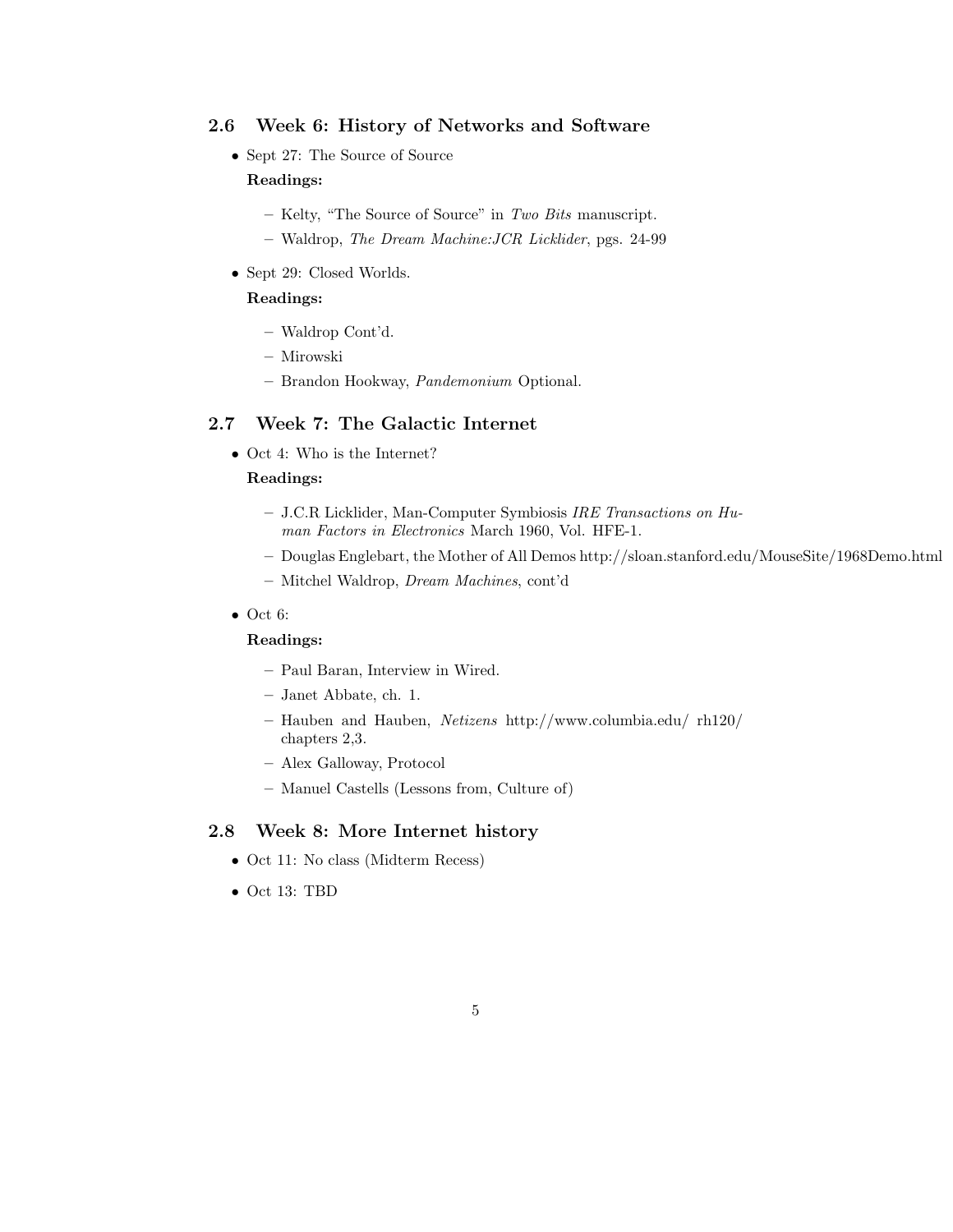### 2.6 Week 6: History of Networks and Software

- Sept 27: The Source of Source Readings:
	- Kelty, "The Source of Source" in Two Bits manuscript.
	- Waldrop, The Dream Machine:JCR Licklider, pgs. 24-99
- Sept 29: Closed Worlds.

### Readings:

- Waldrop Cont'd.
- Mirowski
- Brandon Hookway, Pandemonium Optional.

### 2.7 Week 7: The Galactic Internet

• Oct 4: Who is the Internet?

#### Readings:

- J.C.R Licklider, Man-Computer Symbiosis IRE Transactions on Human Factors in Electronics March 1960, Vol. HFE-1.
- Douglas Englebart, the Mother of All Demos http://sloan.stanford.edu/MouseSite/1968Demo.html
- Mitchel Waldrop, Dream Machines, cont'd
- Oct 6:

### Readings:

- Paul Baran, Interview in Wired.
- Janet Abbate, ch. 1.
- Hauben and Hauben, Netizens http://www.columbia.edu/ rh120/ chapters 2,3.
- Alex Galloway, Protocol
- Manuel Castells (Lessons from, Culture of)

### 2.8 Week 8: More Internet history

- Oct 11: No class (Midterm Recess)
- Oct 13: TBD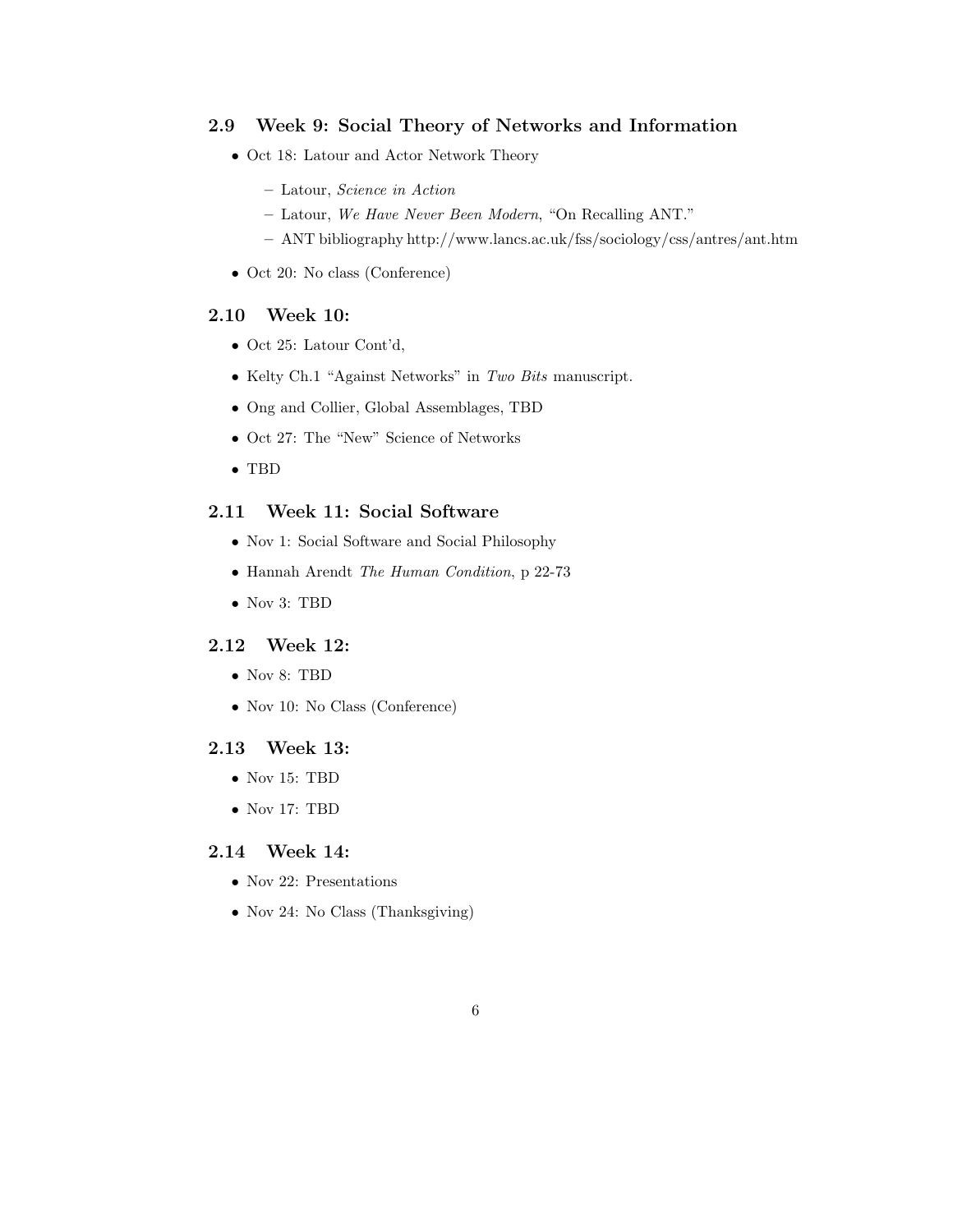### 2.9 Week 9: Social Theory of Networks and Information

- Oct 18: Latour and Actor Network Theory
	- Latour, Science in Action
	- Latour, We Have Never Been Modern, "On Recalling ANT."
	- ANT bibliography http://www.lancs.ac.uk/fss/sociology/css/antres/ant.htm
- Oct 20: No class (Conference)

### 2.10 Week 10:

- Oct 25: Latour Cont'd,
- Kelty Ch.1 "Against Networks" in Two Bits manuscript.
- Ong and Collier, Global Assemblages, TBD
- Oct 27: The "New" Science of Networks
- TBD

### 2.11 Week 11: Social Software

- Nov 1: Social Software and Social Philosophy
- Hannah Arendt The Human Condition, p 22-73
- Nov 3: TBD

### 2.12 Week 12:

- Nov 8: TBD
- Nov 10: No Class (Conference)

### 2.13 Week 13:

- Nov 15: TBD
- Nov 17: TBD

### 2.14 Week 14:

- Nov 22: Presentations
- Nov 24: No Class (Thanksgiving)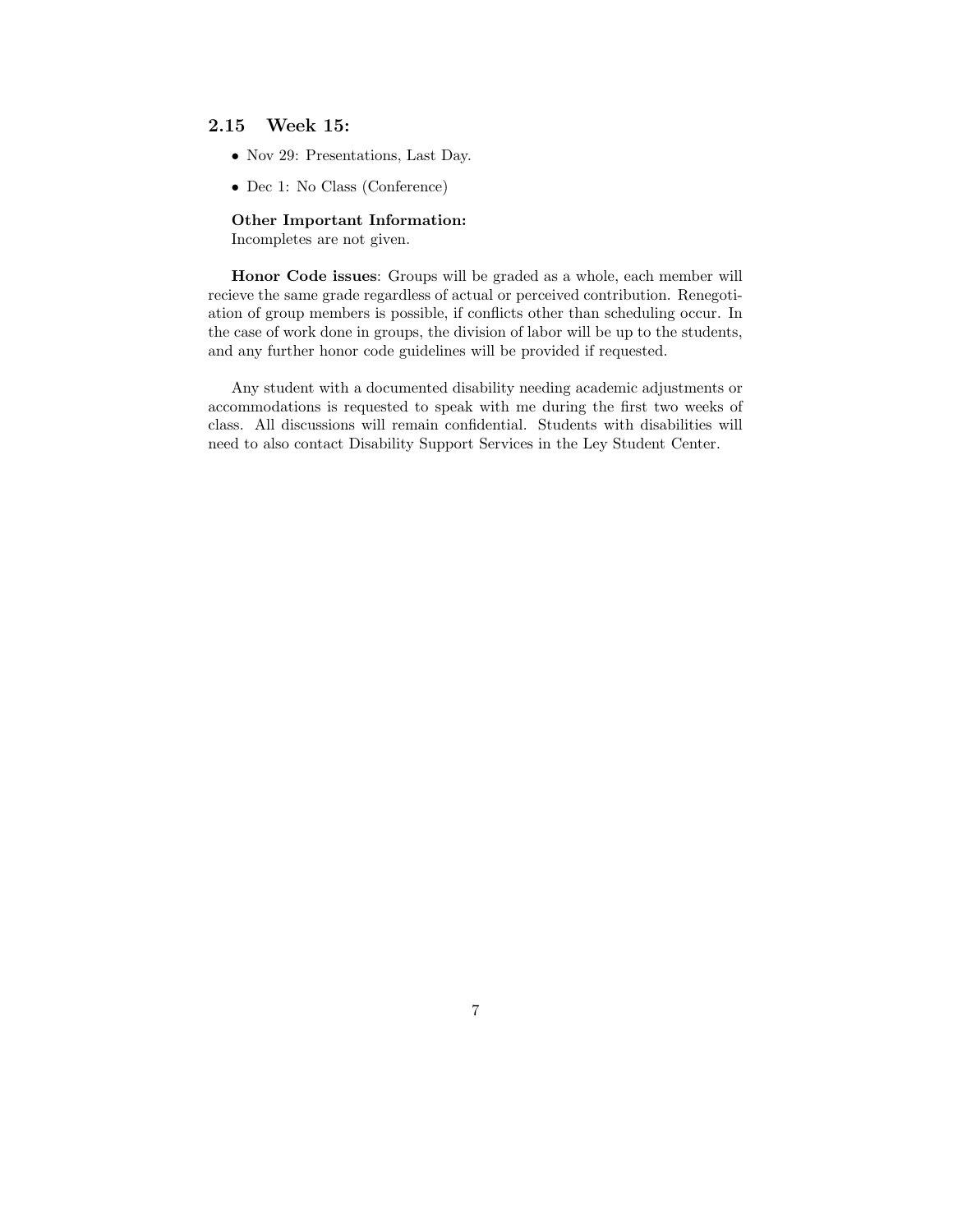### 2.15 Week 15:

- Nov 29: Presentations, Last Day.
- Dec 1: No Class (Conference)

Other Important Information: Incompletes are not given.

Honor Code issues: Groups will be graded as a whole, each member will recieve the same grade regardless of actual or perceived contribution. Renegotiation of group members is possible, if conflicts other than scheduling occur. In the case of work done in groups, the division of labor will be up to the students, and any further honor code guidelines will be provided if requested.

Any student with a documented disability needing academic adjustments or accommodations is requested to speak with me during the first two weeks of class. All discussions will remain confidential. Students with disabilities will need to also contact Disability Support Services in the Ley Student Center.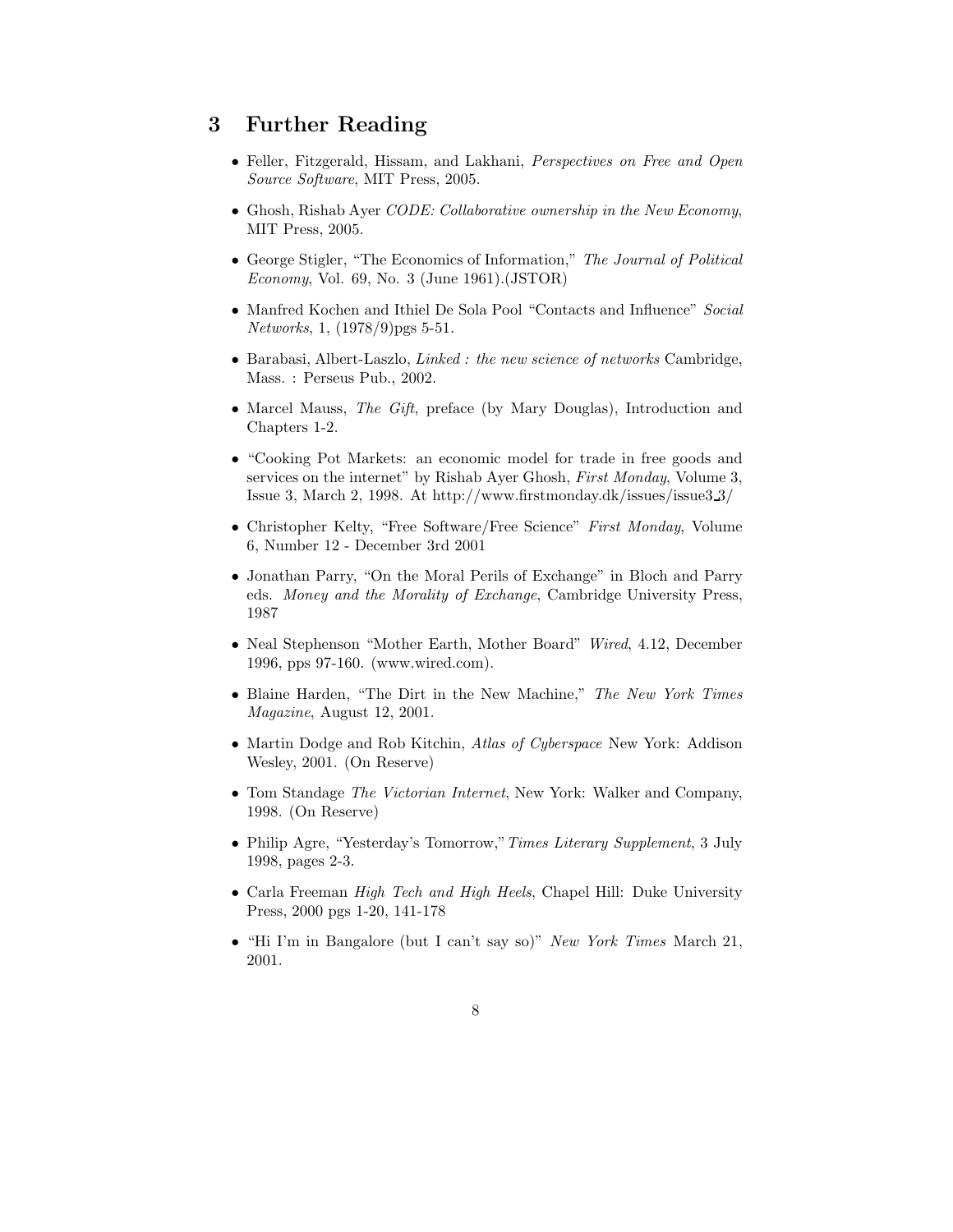## 3 Further Reading

- Feller, Fitzgerald, Hissam, and Lakhani, Perspectives on Free and Open Source Software, MIT Press, 2005.
- Ghosh, Rishab Ayer CODE: Collaborative ownership in the New Economy, MIT Press, 2005.
- George Stigler, "The Economics of Information," The Journal of Political Economy, Vol. 69, No. 3 (June 1961).  $(JSTOR)$
- Manfred Kochen and Ithiel De Sola Pool "Contacts and Influence" Social Networks, 1, (1978/9)pgs 5-51.
- Barabasi, Albert-Laszlo, Linked : the new science of networks Cambridge, Mass. : Perseus Pub., 2002.
- Marcel Mauss, The Gift, preface (by Mary Douglas), Introduction and Chapters 1-2.
- "Cooking Pot Markets: an economic model for trade in free goods and services on the internet" by Rishab Ayer Ghosh, First Monday, Volume 3, Issue 3, March 2, 1998. At http://www.firstmonday.dk/issues/issue3 3/
- Christopher Kelty, "Free Software/Free Science" First Monday, Volume 6, Number 12 - December 3rd 2001
- Jonathan Parry, "On the Moral Perils of Exchange" in Bloch and Parry eds. Money and the Morality of Exchange, Cambridge University Press, 1987
- Neal Stephenson "Mother Earth, Mother Board" Wired, 4.12, December 1996, pps 97-160. (www.wired.com).
- Blaine Harden, "The Dirt in the New Machine," The New York Times Magazine, August 12, 2001.
- Martin Dodge and Rob Kitchin, Atlas of Cyberspace New York: Addison Wesley, 2001. (On Reserve)
- Tom Standage The Victorian Internet, New York: Walker and Company, 1998. (On Reserve)
- Philip Agre, "Yesterday's Tomorrow," Times Literary Supplement, 3 July 1998, pages 2-3.
- Carla Freeman High Tech and High Heels, Chapel Hill: Duke University Press, 2000 pgs 1-20, 141-178
- "Hi I'm in Bangalore (but I can't say so)" New York Times March 21, 2001.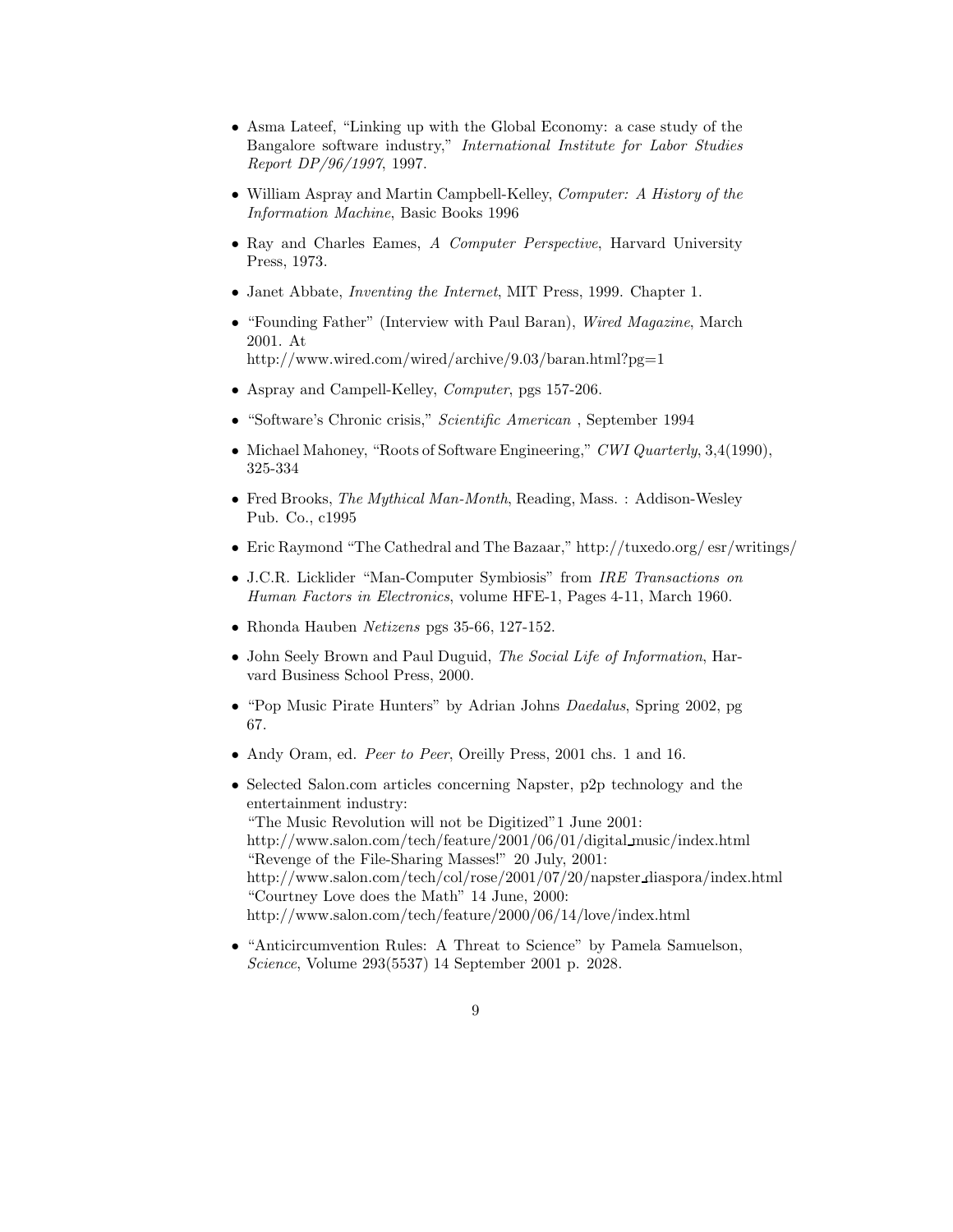- Asma Lateef, "Linking up with the Global Economy: a case study of the Bangalore software industry," International Institute for Labor Studies Report DP/96/1997, 1997.
- William Aspray and Martin Campbell-Kelley, Computer: A History of the Information Machine, Basic Books 1996
- Ray and Charles Eames, A Computer Perspective, Harvard University Press, 1973.
- Janet Abbate, *Inventing the Internet*, MIT Press, 1999. Chapter 1.
- "Founding Father" (Interview with Paul Baran), Wired Magazine, March 2001. At http://www.wired.com/wired/archive/9.03/baran.html?pg=1
- Aspray and Campell-Kelley, *Computer*, pgs 157-206.
- "Software's Chronic crisis," Scientific American , September 1994
- Michael Mahoney, "Roots of Software Engineering," CWI Quarterly, 3,4(1990), 325-334
- Fred Brooks, *The Mythical Man-Month*, Reading, Mass. : Addison-Wesley Pub. Co., c1995
- Eric Raymond "The Cathedral and The Bazaar," http://tuxedo.org/ esr/writings/
- J.C.R. Licklider "Man-Computer Symbiosis" from *IRE Transactions on* Human Factors in Electronics, volume HFE-1, Pages 4-11, March 1960.
- Rhonda Hauben Netizens pgs 35-66, 127-152.
- John Seely Brown and Paul Duguid, The Social Life of Information, Harvard Business School Press, 2000.
- "Pop Music Pirate Hunters" by Adrian Johns Daedalus, Spring 2002, pg 67.
- Andy Oram, ed. Peer to Peer, Oreilly Press, 2001 chs. 1 and 16.
- Selected Salon.com articles concerning Napster, p2p technology and the entertainment industry: "The Music Revolution will not be Digitized"1 June 2001: http://www.salon.com/tech/feature/2001/06/01/digital music/index.html "Revenge of the File-Sharing Masses!" 20 July, 2001: http://www.salon.com/tech/col/rose/2001/07/20/napster diaspora/index.html "Courtney Love does the Math" 14 June, 2000: http://www.salon.com/tech/feature/2000/06/14/love/index.html
- "Anticircumvention Rules: A Threat to Science" by Pamela Samuelson, Science, Volume 293(5537) 14 September 2001 p. 2028.